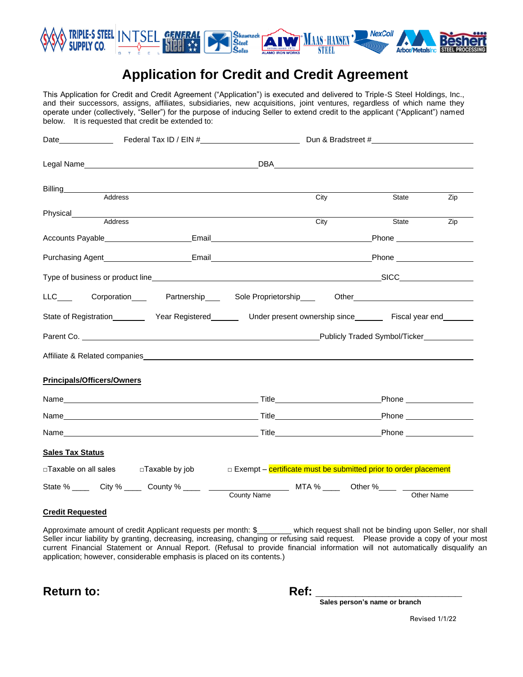

# **Application for Credit and Credit Agreement**

This Application for Credit and Credit Agreement ("Application") is executed and delivered to Triple-S Steel Holdings, Inc., and their successors, assigns, affiliates, subsidiaries, new acquisitions, joint ventures, regardless of which name they operate under (collectively, "Seller") for the purpose of inducing Seller to extend credit to the applicant ("Applicant") named below. It is requested that credit be extended to:

| Date <b>No. 2018</b> Federal Tax ID / EIN # <b>Mate Date Solution CON CON CON CON CON CON CON CON CON CON CON CON CON CON CON CON CON CON CON CON CON CON CON CON CON CON C</b>                                                |                                                                   | Dun & Bradstreet #                   |                                                                                                                                                                                                                                    |            |  |
|--------------------------------------------------------------------------------------------------------------------------------------------------------------------------------------------------------------------------------|-------------------------------------------------------------------|--------------------------------------|------------------------------------------------------------------------------------------------------------------------------------------------------------------------------------------------------------------------------------|------------|--|
|                                                                                                                                                                                                                                |                                                                   |                                      | DBA and the contract of the contract of the contract of the contract of the contract of the contract of the contract of the contract of the contract of the contract of the contract of the contract of the contract of the co     |            |  |
| Billing__________<br>Address                                                                                                                                                                                                   |                                                                   | City                                 | State                                                                                                                                                                                                                              | Zip        |  |
|                                                                                                                                                                                                                                |                                                                   |                                      |                                                                                                                                                                                                                                    |            |  |
| Physical____________<br>Address                                                                                                                                                                                                |                                                                   | City                                 | State                                                                                                                                                                                                                              | Zip        |  |
|                                                                                                                                                                                                                                |                                                                   |                                      |                                                                                                                                                                                                                                    |            |  |
|                                                                                                                                                                                                                                |                                                                   |                                      |                                                                                                                                                                                                                                    |            |  |
|                                                                                                                                                                                                                                |                                                                   |                                      |                                                                                                                                                                                                                                    |            |  |
| LLC____ Corporation____ Partnership____ Sole Proprietorship____ Other______________________________                                                                                                                            |                                                                   |                                      |                                                                                                                                                                                                                                    |            |  |
| State of Registration___________ Year Registered_________ Under present ownership since________ Fiscal year end_______                                                                                                         |                                                                   |                                      |                                                                                                                                                                                                                                    |            |  |
| Parent Co. <b>Example 20</b> No. 2014 12:30 No. 2014 12:30 No. 2014 12:30 No. 2014 12:30 No. 2014 12:30 No. 2014 12:30                                                                                                         |                                                                   |                                      | Publicly Traded Symbol/Ticker                                                                                                                                                                                                      |            |  |
| Affiliate & Related companies experience and the contract of the contract of the contract of the contract of the contract of the contract of the contract of the contract of the contract of the contract of the contract of t |                                                                   |                                      |                                                                                                                                                                                                                                    |            |  |
| <b>Principals/Officers/Owners</b>                                                                                                                                                                                              |                                                                   |                                      |                                                                                                                                                                                                                                    |            |  |
| Name Title The Contract of the Contract of the Contract of Title Title Title The Contract of the Contract of the Contract of the Contract of the Contract of the Contract of the Contract of the Contract of the Contract of t |                                                                   |                                      | <b>Phone Contract Contract Contract Contract Contract Contract Contract Contract Contract Contract Contract Contract Contract Contract Contract Contract Contract Contract Contract Contract Contract Contract Contract Contra</b> |            |  |
|                                                                                                                                                                                                                                |                                                                   |                                      |                                                                                                                                                                                                                                    |            |  |
|                                                                                                                                                                                                                                |                                                                   |                                      |                                                                                                                                                                                                                                    |            |  |
| <b>Sales Tax Status</b>                                                                                                                                                                                                        |                                                                   |                                      |                                                                                                                                                                                                                                    |            |  |
| □Taxable on all sales □Taxable by job                                                                                                                                                                                          | □ Exempt – certificate must be submitted prior to order placement |                                      |                                                                                                                                                                                                                                    |            |  |
| State % _____ City % _____ County % _____ __                                                                                                                                                                                   | <b>County Name</b>                                                | _________ MTA % _____ Other %____ __ |                                                                                                                                                                                                                                    | Other Name |  |

#### **Credit Requested**

Approximate amount of credit Applicant requests per month: \$ which request shall not be binding upon Seller, nor shall Seller incur liability by granting, decreasing, increasing, changing or refusing said request. Please provide a copy of your most current Financial Statement or Annual Report. (Refusal to provide financial information will not automatically disqualify an application; however, considerable emphasis is placed on its contents.)

Return to: **Ref: Ref: Ref: Ref: Ref: Ref: Ref: Ref: Ref: Ref: Ref: Ref: Ref: Ref: Ref: Ref: Ref: Ref: Ref: Ref: Ref: Ref: Ref: Ref: Ref: Ref: Ref: Ref: Ref: Ref:**

 **Sales person's name or branch**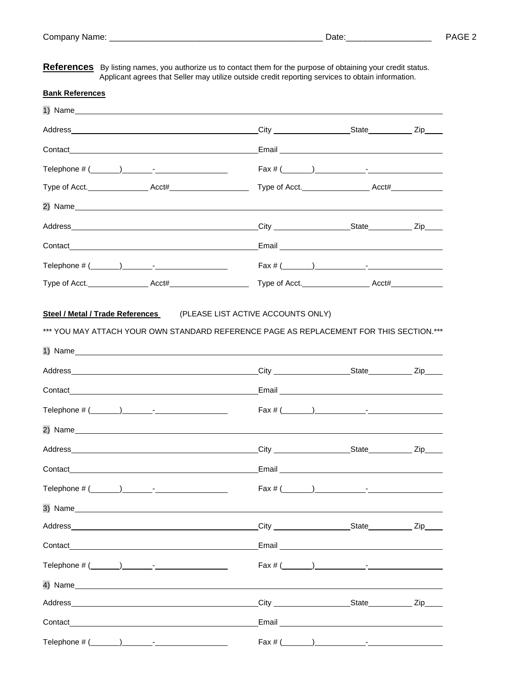**References** By listing names, you authorize us to contact them for the purpose of obtaining your credit status. Applicant agrees that Seller may utilize outside credit reporting services to obtain information.

#### **Bank References**

| Contact Contact Contact Contact Contact Contact Contact Contact Contact Contact Contact Contact Contact Contact Contact Contact Contact Contact Contact Contact Contact Contact Contact Contact Contact Contact Contact Contac |                                              |  |  |
|--------------------------------------------------------------------------------------------------------------------------------------------------------------------------------------------------------------------------------|----------------------------------------------|--|--|
| Telephone $\# (\_\_\_\_\_) \_\_\_\_$ -                                                                                                                                                                                         | Fax # (                                      |  |  |
|                                                                                                                                                                                                                                |                                              |  |  |
|                                                                                                                                                                                                                                |                                              |  |  |
|                                                                                                                                                                                                                                |                                              |  |  |
| Contact Contact Contact Contact Contact Contact Contact Contact Contact Contact Contact Contact Contact Contact Contact Contact Contact Contact Contact Contact Contact Contact Contact Contact Contact Contact Contact Contac |                                              |  |  |
|                                                                                                                                                                                                                                | Fax # (                                      |  |  |
|                                                                                                                                                                                                                                |                                              |  |  |
| 1) Name                                                                                                                                                                                                                        |                                              |  |  |
|                                                                                                                                                                                                                                |                                              |  |  |
| Contact Contact Contact Contact Contact Contact Contact Contact Contact Contact Contact Contact Contact Contact Contact Contact Contact Contact Contact Contact Contact Contact Contact Contact Contact Contact Contact Contac |                                              |  |  |
|                                                                                                                                                                                                                                | $\text{Fax } \# (\_\_\_\_\_) \_\_\_\_\_\_\_$ |  |  |
|                                                                                                                                                                                                                                |                                              |  |  |
|                                                                                                                                                                                                                                |                                              |  |  |
| Contact contact contact contact contact contact contact contact contact contact contact contact contact contact contact contact contact contact contact contact contact contact contact contact contact contact contact contac |                                              |  |  |
| Telephone $\#$ $(\_\_\_\_\_\_\_$                                                                                                                                                                                               | $\text{Fax } # (\_\_\_\_)\_\_\_\_$           |  |  |
|                                                                                                                                                                                                                                |                                              |  |  |
|                                                                                                                                                                                                                                |                                              |  |  |
|                                                                                                                                                                                                                                |                                              |  |  |
|                                                                                                                                                                                                                                |                                              |  |  |
| 4) Name                                                                                                                                                                                                                        |                                              |  |  |
|                                                                                                                                                                                                                                |                                              |  |  |
| Contact                                                                                                                                                                                                                        |                                              |  |  |
| Telephone $\# (\_\_\_\_\_\_\_\_$ -                                                                                                                                                                                             | $\text{Fax } \# (\_\_\_\_\_) \_\_\_\_\_\_\_$ |  |  |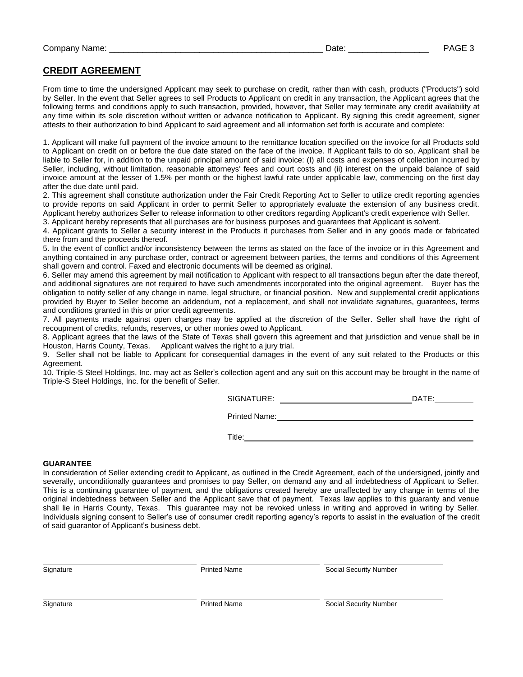### **CREDIT AGREEMENT**

From time to time the undersigned Applicant may seek to purchase on credit, rather than with cash, products ("Products") sold by Seller. In the event that Seller agrees to sell Products to Applicant on credit in any transaction, the Applicant agrees that the following terms and conditions apply to such transaction, provided, however, that Seller may terminate any credit availability at any time within its sole discretion without written or advance notification to Applicant. By signing this credit agreement, signer attests to their authorization to bind Applicant to said agreement and all information set forth is accurate and complete:

1. Applicant will make full payment of the invoice amount to the remittance location specified on the invoice for all Products sold to Applicant on credit on or before the due date stated on the face of the invoice. If Applicant fails to do so, Applicant shall be liable to Seller for, in addition to the unpaid principal amount of said invoice: (I) all costs and expenses of collection incurred by Seller, including, without limitation, reasonable attorneys' fees and court costs and (ii) interest on the unpaid balance of said invoice amount at the lesser of 1.5% per month or the highest lawful rate under applicable law, commencing on the first day after the due date until paid.

2. This agreement shall constitute authorization under the Fair Credit Reporting Act to Seller to utilize credit reporting agencies to provide reports on said Applicant in order to permit Seller to appropriately evaluate the extension of any business credit. Applicant hereby authorizes Seller to release information to other creditors regarding Applicant's credit experience with Seller. 3. Applicant hereby represents that all purchases are for business purposes and guarantees that Applicant is solvent.

4. Applicant grants to Seller a security interest in the Products it purchases from Seller and in any goods made or fabricated there from and the proceeds thereof.

5. In the event of conflict and/or inconsistency between the terms as stated on the face of the invoice or in this Agreement and anything contained in any purchase order, contract or agreement between parties, the terms and conditions of this Agreement shall govern and control. Faxed and electronic documents will be deemed as original.

6. Seller may amend this agreement by mail notification to Applicant with respect to all transactions begun after the date thereof, and additional signatures are not required to have such amendments incorporated into the original agreement. Buyer has the obligation to notify seller of any change in name, legal structure, or financial position. New and supplemental credit applications provided by Buyer to Seller become an addendum, not a replacement, and shall not invalidate signatures, guarantees, terms and conditions granted in this or prior credit agreements.

7. All payments made against open charges may be applied at the discretion of the Seller. Seller shall have the right of recoupment of credits, refunds, reserves, or other monies owed to Applicant.

8. Applicant agrees that the laws of the State of Texas shall govern this agreement and that jurisdiction and venue shall be in Houston, Harris County, Texas. Applicant waives the right to a jury trial.

9. Seller shall not be liable to Applicant for consequential damages in the event of any suit related to the Products or this Agreement.

10. Triple-S Steel Holdings, Inc. may act as Seller's collection agent and any suit on this account may be brought in the name of Triple-S Steel Holdings, Inc. for the benefit of Seller.

SIGNATURE: DATE:

Printed Name:

Title: **The Community of the Community of the Community of the Community of the Community of the Community of the Community of the Community of the Community of the Community of the Community of the Community of the Commun** 

#### **GUARANTEE**

In consideration of Seller extending credit to Applicant, as outlined in the Credit Agreement, each of the undersigned, jointly and severally, unconditionally guarantees and promises to pay Seller, on demand any and all indebtedness of Applicant to Seller. This is a continuing guarantee of payment, and the obligations created hereby are unaffected by any change in terms of the original indebtedness between Seller and the Applicant save that of payment. Texas law applies to this guaranty and venue shall lie in Harris County, Texas. This guarantee may not be revoked unless in writing and approved in writing by Seller. Individuals signing consent to Seller's use of consumer credit reporting agency's reports to assist in the evaluation of the credit of said guarantor of Applicant's business debt.

l.

Signature **Example 2018** Printed Name **Printed Name** Social Security Number

Signature **Example 20 Trinted Name** Printed Name **Social Security Number** Social Security Number